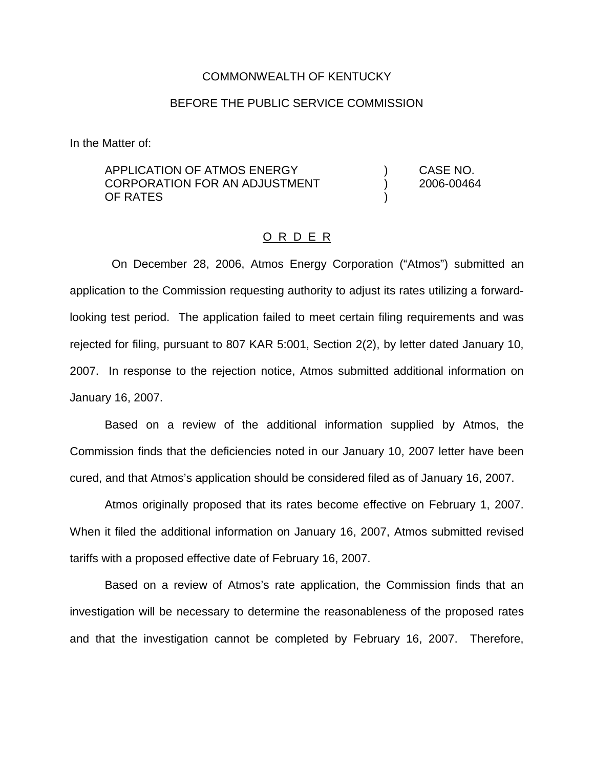### COMMONWEALTH OF KENTUCKY

## BEFORE THE PUBLIC SERVICE COMMISSION

In the Matter of:

APPLICATION OF ATMOS ENERGY (and the state of the CASE NO. CORPORATION FOR AN ADJUSTMENT ) 2006-00464 OF RATES )

#### O R D E R

On December 28, 2006, Atmos Energy Corporation ("Atmos") submitted an application to the Commission requesting authority to adjust its rates utilizing a forwardlooking test period. The application failed to meet certain filing requirements and was rejected for filing, pursuant to 807 KAR 5:001, Section 2(2), by letter dated January 10, 2007. In response to the rejection notice, Atmos submitted additional information on January 16, 2007.

Based on a review of the additional information supplied by Atmos, the Commission finds that the deficiencies noted in our January 10, 2007 letter have been cured, and that Atmos's application should be considered filed as of January 16, 2007.

Atmos originally proposed that its rates become effective on February 1, 2007. When it filed the additional information on January 16, 2007, Atmos submitted revised tariffs with a proposed effective date of February 16, 2007.

Based on a review of Atmos's rate application, the Commission finds that an investigation will be necessary to determine the reasonableness of the proposed rates and that the investigation cannot be completed by February 16, 2007. Therefore,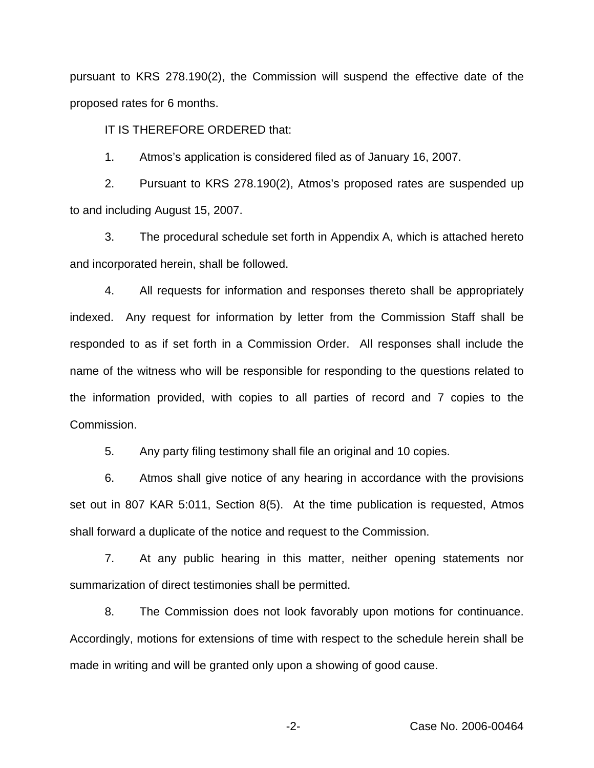pursuant to KRS 278.190(2), the Commission will suspend the effective date of the proposed rates for 6 months.

IT IS THEREFORE ORDERED that:

1. Atmos's application is considered filed as of January 16, 2007.

2. Pursuant to KRS 278.190(2), Atmos's proposed rates are suspended up to and including August 15, 2007.

3. The procedural schedule set forth in Appendix A, which is attached hereto and incorporated herein, shall be followed.

4. All requests for information and responses thereto shall be appropriately indexed. Any request for information by letter from the Commission Staff shall be responded to as if set forth in a Commission Order. All responses shall include the name of the witness who will be responsible for responding to the questions related to the information provided, with copies to all parties of record and 7 copies to the Commission.

5. Any party filing testimony shall file an original and 10 copies.

6. Atmos shall give notice of any hearing in accordance with the provisions set out in 807 KAR 5:011, Section 8(5). At the time publication is requested, Atmos shall forward a duplicate of the notice and request to the Commission.

7. At any public hearing in this matter, neither opening statements nor summarization of direct testimonies shall be permitted.

8. The Commission does not look favorably upon motions for continuance. Accordingly, motions for extensions of time with respect to the schedule herein shall be made in writing and will be granted only upon a showing of good cause.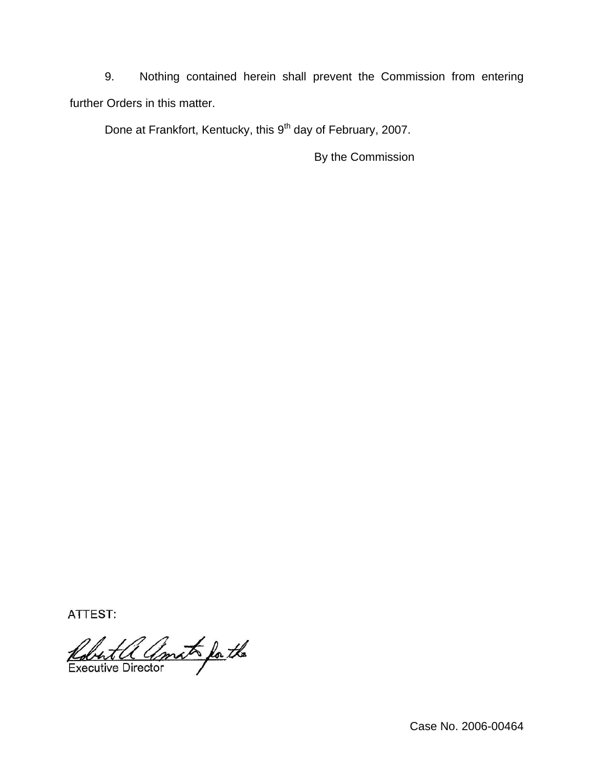9. Nothing contained herein shall prevent the Commission from entering further Orders in this matter.

Done at Frankfort, Kentucky, this 9<sup>th</sup> day of February, 2007.

By the Commission

ATTEST:

Robert a amat for the